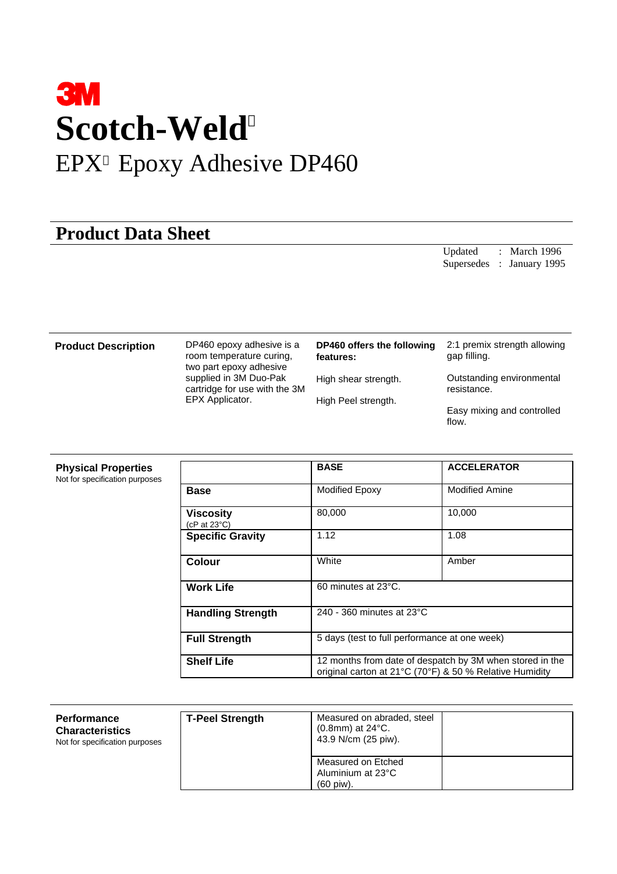# **3M Scotch-Weld** EPX<sup>TM</sup> Epoxy Adhesive DP460

## **Product Data Sheet**

Updated : March 1996 Supersedes : January 1995

**Product Description** DP460 epoxy adhesive is a room temperature curing, two part epoxy adhesive supplied in 3M Duo-Pak cartridge for use with the 3M EPX Applicator.

| DP460 offers the following<br>features: | 2:1 premix strength allowing<br>gap filling. |
|-----------------------------------------|----------------------------------------------|
| High shear strength.                    | Outstanding environmental<br>resistance.     |
| High Peel strength.                     | Easy mixing and controlled<br>flow.          |

### **Physical Properties**

Not for specification purposes

|                                         | <b>BASE</b>                                                                                                         | <b>ACCELERATOR</b>    |  |
|-----------------------------------------|---------------------------------------------------------------------------------------------------------------------|-----------------------|--|
| <b>Base</b>                             | <b>Modified Epoxy</b>                                                                                               | <b>Modified Amine</b> |  |
| <b>Viscosity</b><br>( $cP$ at 23 $°C$ ) | 80,000                                                                                                              | 10,000                |  |
| <b>Specific Gravity</b>                 | 1.12                                                                                                                | 1.08                  |  |
| <b>Colour</b>                           | White                                                                                                               | Amber                 |  |
| <b>Work Life</b>                        | 60 minutes at 23°C.                                                                                                 |                       |  |
| <b>Handling Strength</b>                | 240 - 360 minutes at 23°C                                                                                           |                       |  |
| <b>Full Strength</b>                    | 5 days (test to full performance at one week)                                                                       |                       |  |
| <b>Shelf Life</b>                       | 12 months from date of despatch by 3M when stored in the<br>original carton at 21°C (70°F) & 50 % Relative Humidity |                       |  |

| Performance<br><b>Characteristics</b><br>Not for specification purposes | <b>T-Peel Strength</b> | Measured on abraded, steel<br>$(0.8$ mm) at 24 $^{\circ}$ C.<br>43.9 N/cm (25 piw). |  |
|-------------------------------------------------------------------------|------------------------|-------------------------------------------------------------------------------------|--|
|                                                                         |                        | Measured on Etched<br>Aluminium at 23°C<br>(60 piw).                                |  |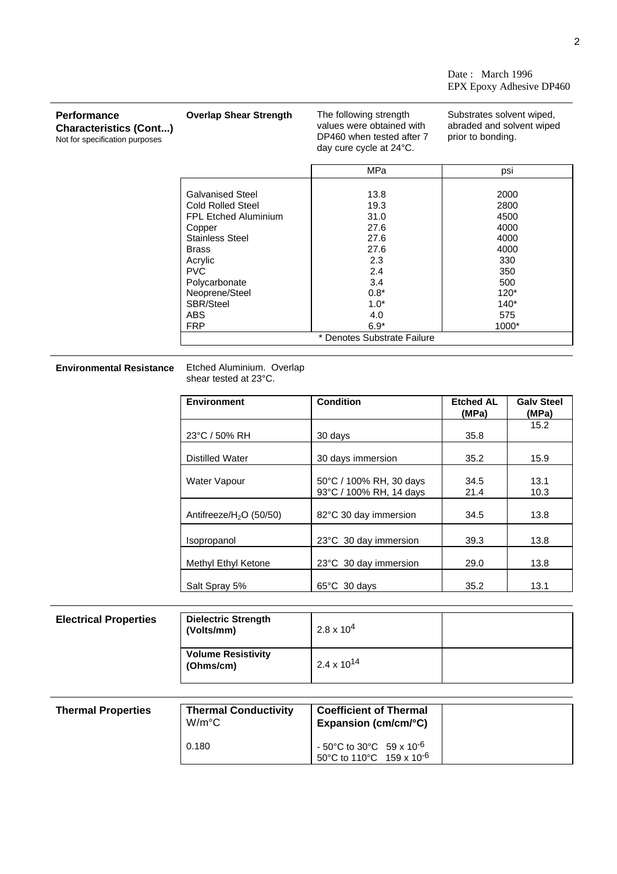Date : March 1996 EPX Epoxy Adhesive DP460

| <b>Performance</b><br><b>Characteristics (Cont)</b><br>Not for specification purposes | <b>Overlap Shear Strength</b>                                                                                                                                                                                                                      | The following strength<br>values were obtained with<br>DP460 when tested after 7<br>day cure cycle at $24^{\circ}$ C. | Substrates solvent wiped,<br>abraded and solvent wiped<br>prior to bonding.                           |
|---------------------------------------------------------------------------------------|----------------------------------------------------------------------------------------------------------------------------------------------------------------------------------------------------------------------------------------------------|-----------------------------------------------------------------------------------------------------------------------|-------------------------------------------------------------------------------------------------------|
|                                                                                       |                                                                                                                                                                                                                                                    | MPa                                                                                                                   | psi                                                                                                   |
|                                                                                       | <b>Galvanised Steel</b><br><b>Cold Rolled Steel</b><br><b>FPL Etched Aluminium</b><br>Copper<br><b>Stainless Steel</b><br><b>Brass</b><br>Acrylic<br><b>PVC</b><br>Polycarbonate<br>Neoprene/Steel<br><b>SBR/Steel</b><br><b>ABS</b><br><b>FRP</b> | 13.8<br>19.3<br>31.0<br>27.6<br>27.6<br>27.6<br>2.3<br>2.4<br>3.4<br>$0.8*$<br>$1.0*$<br>4.0<br>$6.9*$                | 2000<br>2800<br>4500<br>4000<br>4000<br>4000<br>330<br>350<br>500<br>$120*$<br>$140*$<br>575<br>1000* |
|                                                                                       |                                                                                                                                                                                                                                                    | * Denotes Substrate Failure                                                                                           |                                                                                                       |

## **Environmental Resistance**

Etched Aluminium. Overlap<br>shear tested at 23°C.

| <b>Environment</b>        | <b>Condition</b>                                   | <b>Etched AL</b><br>(MPa) | <b>Galv Steel</b><br>(MPa) |
|---------------------------|----------------------------------------------------|---------------------------|----------------------------|
| 23°C / 50% RH             | 30 days                                            | 35.8                      | 15.2                       |
| <b>Distilled Water</b>    | 30 days immersion                                  | 35.2                      | 15.9                       |
| <b>Water Vapour</b>       | 50°C / 100% RH, 30 days<br>93°C / 100% RH, 14 days | 34.5<br>21.4              | 13.1<br>10.3               |
| Antifreeze/ $H2O$ (50/50) | 82°C 30 day immersion                              | 34.5                      | 13.8                       |
| Isopropanol               | 23°C 30 day immersion                              | 39.3                      | 13.8                       |
| Methyl Ethyl Ketone       | 23°C 30 day immersion                              | 29.0                      | 13.8                       |
| Salt Spray 5%             | $65^{\circ}$ C 30 days                             | 35.2                      | 13.1                       |

| <b>Electrical Properties</b> | <b>Dielectric Strength</b><br>(Volts/mm) | $2.8 \times 10^{4}$    |  |
|------------------------------|------------------------------------------|------------------------|--|
|                              | <b>Volume Resistivity</b><br>(Ohms/cm)   | 2.4 x 10 <sup>14</sup> |  |

| <b>Thermal Properties</b> | <b>Thermal Conductivity</b><br>$W/m^{\circ}C$ | <b>Coefficient of Thermal</b><br>Expansion ( $cm/cm/C$ )                                         |
|---------------------------|-----------------------------------------------|--------------------------------------------------------------------------------------------------|
|                           | 0.180                                         | $-50^{\circ}$ C to 30 $^{\circ}$ C 59 x 10 <sup>-6</sup><br>50°C to 110°C 159 x 10 <sup>-6</sup> |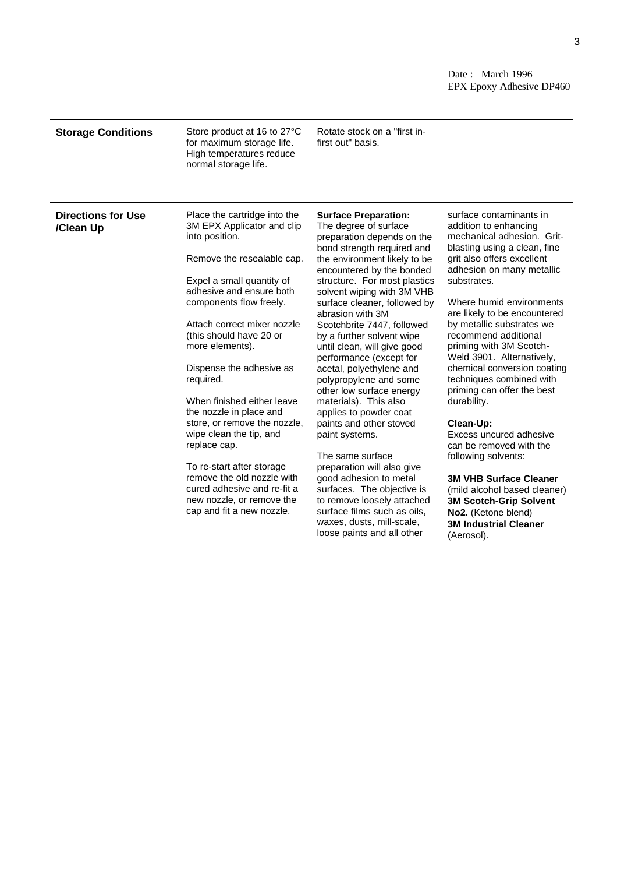Date : March 1996 EPX Epoxy Adhesive DP460

**No2.** (Ketone blend) **3M Industrial Cleaner**

(Aerosol).

| <b>Storage Conditions</b>              | Store product at 16 to 27°C<br>for maximum storage life.<br>High temperatures reduce<br>normal storage life.                                                                                                                                                                                                                                                                                                                                                                                                                                                                    | Rotate stock on a "first in-<br>first out" basis.                                                                                                                                                                                                                                                                                                                                                                                                                                                                                                                                                                                                                                                                                              |                                                                                                                                                                                                                                                                                                                                                                                                                                                                                                                                                                                                                                                                       |
|----------------------------------------|---------------------------------------------------------------------------------------------------------------------------------------------------------------------------------------------------------------------------------------------------------------------------------------------------------------------------------------------------------------------------------------------------------------------------------------------------------------------------------------------------------------------------------------------------------------------------------|------------------------------------------------------------------------------------------------------------------------------------------------------------------------------------------------------------------------------------------------------------------------------------------------------------------------------------------------------------------------------------------------------------------------------------------------------------------------------------------------------------------------------------------------------------------------------------------------------------------------------------------------------------------------------------------------------------------------------------------------|-----------------------------------------------------------------------------------------------------------------------------------------------------------------------------------------------------------------------------------------------------------------------------------------------------------------------------------------------------------------------------------------------------------------------------------------------------------------------------------------------------------------------------------------------------------------------------------------------------------------------------------------------------------------------|
| <b>Directions for Use</b><br>/Clean Up | Place the cartridge into the<br>3M EPX Applicator and clip<br>into position.<br>Remove the resealable cap.<br>Expel a small quantity of<br>adhesive and ensure both<br>components flow freely.<br>Attach correct mixer nozzle<br>(this should have 20 or<br>more elements).<br>Dispense the adhesive as<br>required.<br>When finished either leave<br>the nozzle in place and<br>store, or remove the nozzle,<br>wipe clean the tip, and<br>replace cap.<br>To re-start after storage<br>remove the old nozzle with<br>cured adhesive and re-fit a<br>new nozzle, or remove the | <b>Surface Preparation:</b><br>The degree of surface<br>preparation depends on the<br>bond strength required and<br>the environment likely to be<br>encountered by the bonded<br>structure. For most plastics<br>solvent wiping with 3M VHB<br>surface cleaner, followed by<br>abrasion with 3M<br>Scotchbrite 7447, followed<br>by a further solvent wipe<br>until clean, will give good<br>performance (except for<br>acetal, polyethylene and<br>polypropylene and some<br>other low surface energy<br>materials). This also<br>applies to powder coat<br>paints and other stoved<br>paint systems.<br>The same surface<br>preparation will also give<br>good adhesion to metal<br>surfaces. The objective is<br>to remove loosely attached | surface contaminants in<br>addition to enhancing<br>mechanical adhesion. Grit-<br>blasting using a clean, fine<br>grit also offers excellent<br>adhesion on many metallic<br>substrates.<br>Where humid environments<br>are likely to be encountered<br>by metallic substrates we<br>recommend additional<br>priming with 3M Scotch-<br>Weld 3901. Alternatively,<br>chemical conversion coating<br>techniques combined with<br>priming can offer the best<br>durability.<br>Clean-Up:<br>Excess uncured adhesive<br>can be removed with the<br>following solvents:<br><b>3M VHB Surface Cleaner</b><br>(mild alcohol based cleaner)<br><b>3M Scotch-Grip Solvent</b> |

surface films such as oils, waxes, dusts, mill-scale, loose paints and all other

cap and fit a new nozzle.